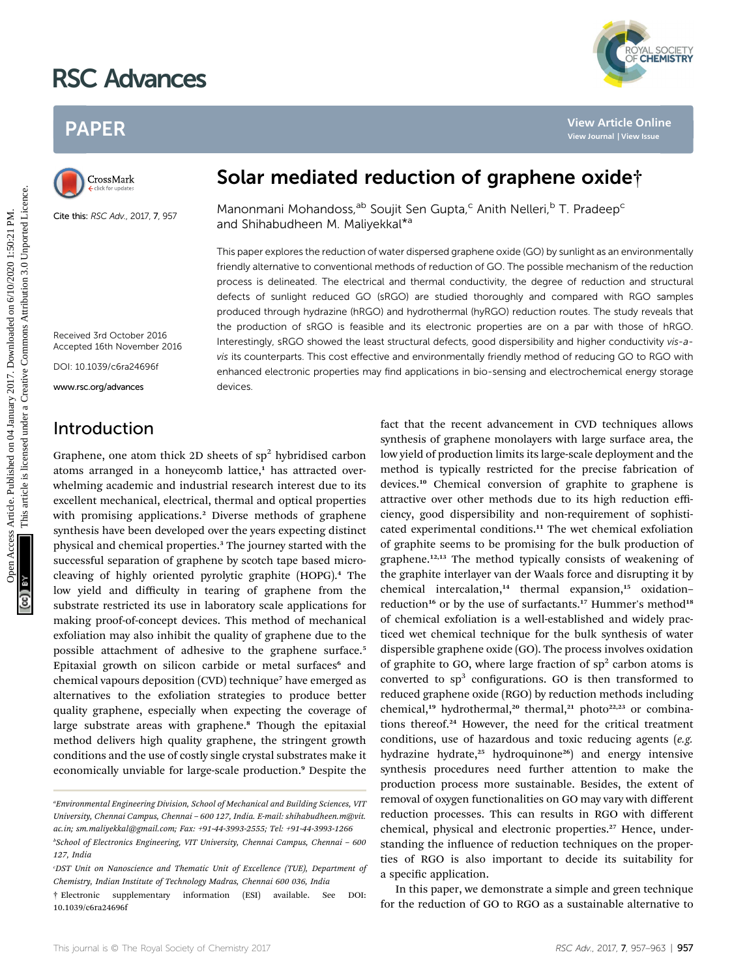# RSC Advances

## PAPER



Cite this: RSC Adv., 2017, 7, 957

YAL SOCIETY<br>**CHEMISTRY** 

## Solar mediated reduction of graphene oxide†

Manonmani Mohandoss,<sup>ab</sup> Soujit Sen Gupta,<sup>c</sup> Anith Nelleri.<sup>b</sup> T. Pradeep<sup>c</sup> and Shihabudheen M. Maliyekkal\*<sup>a</sup>

This paper explores the reduction of water dispersed graphene oxide (GO) by sunlight as an environmentally friendly alternative to conventional methods of reduction of GO. The possible mechanism of the reduction process is delineated. The electrical and thermal conductivity, the degree of reduction and structural defects of sunlight reduced GO (sRGO) are studied thoroughly and compared with RGO samples produced through hydrazine (hRGO) and hydrothermal (hyRGO) reduction routes. The study reveals that the production of sRGO is feasible and its electronic properties are on a par with those of hRGO. Interestingly, sRGO showed the least structural defects, good dispersibility and higher conductivity vis-avis its counterparts. This cost effective and environmentally friendly method of reducing GO to RGO with enhanced electronic properties may find applications in bio-sensing and electrochemical energy storage devices. PAPER<br>
Solar mediated reduction of graphene oxide<sup>1</sup><br>
Clustering the nation of the state of the state of the state of the state of the state of the state of the state of the state of the state of the state of the state of

Received 3rd October 2016 Accepted 16th November 2016

DOI: 10.1039/c6ra24696f

www.rsc.org/advances

## Introduction

Graphene, one atom thick 2D sheets of  $sp<sup>2</sup>$  hybridised carbon atoms arranged in a honeycomb lattice,<sup>1</sup> has attracted overwhelming academic and industrial research interest due to its excellent mechanical, electrical, thermal and optical properties with promising applications.<sup>2</sup> Diverse methods of graphene synthesis have been developed over the years expecting distinct physical and chemical properties.<sup>3</sup> The journey started with the successful separation of graphene by scotch tape based microcleaving of highly oriented pyrolytic graphite (HOPG).<sup>4</sup> The low yield and difficulty in tearing of graphene from the substrate restricted its use in laboratory scale applications for making proof-of-concept devices. This method of mechanical exfoliation may also inhibit the quality of graphene due to the possible attachment of adhesive to the graphene surface.<sup>5</sup> Epitaxial growth on silicon carbide or metal surfaces<sup>6</sup> and chemical vapours deposition (CVD) technique<sup>7</sup> have emerged as alternatives to the exfoliation strategies to produce better quality graphene, especially when expecting the coverage of large substrate areas with graphene.<sup>8</sup> Though the epitaxial method delivers high quality graphene, the stringent growth conditions and the use of costly single crystal substrates make it economically unviable for large-scale production.<sup>9</sup> Despite the

fact that the recent advancement in CVD techniques allows synthesis of graphene monolayers with large surface area, the low yield of production limits its large-scale deployment and the method is typically restricted for the precise fabrication of devices.<sup>10</sup> Chemical conversion of graphite to graphene is attractive over other methods due to its high reduction efficiency, good dispersibility and non-requirement of sophisticated experimental conditions.<sup>11</sup> The wet chemical exfoliation of graphite seems to be promising for the bulk production of graphene.<sup>12,13</sup> The method typically consists of weakening of the graphite interlayer van der Waals force and disrupting it by chemical intercalation, $14$  thermal expansion, $15$  oxidation– reduction<sup>16</sup> or by the use of surfactants.<sup>17</sup> Hummer's method<sup>18</sup> of chemical exfoliation is a well-established and widely practiced wet chemical technique for the bulk synthesis of water dispersible graphene oxide (GO). The process involves oxidation of graphite to GO, where large fraction of  $sp<sup>2</sup>$  carbon atoms is converted to  $sp<sup>3</sup>$  configurations. GO is then transformed to reduced graphene oxide (RGO) by reduction methods including chemical,<sup>19</sup> hydrothermal,<sup>20</sup> thermal,<sup>21</sup> photo<sup>22,23</sup> or combinations thereof.<sup>24</sup> However, the need for the critical treatment conditions, use of hazardous and toxic reducing agents (e.g. hydrazine hydrate,<sup>25</sup> hydroquinone<sup>26</sup>) and energy intensive synthesis procedures need further attention to make the production process more sustainable. Besides, the extent of removal of oxygen functionalities on GO may vary with different reduction processes. This can results in RGO with different chemical, physical and electronic properties.<sup>27</sup> Hence, understanding the influence of reduction techniques on the properties of RGO is also important to decide its suitability for a specific application.

In this paper, we demonstrate a simple and green technique for the reduction of GO to RGO as a sustainable alternative to

<sup>&</sup>quot;Environmental Engineering Division, School of Mechanical and Building Sciences, VIT University, Chennai Campus, Chennai – 600 127, India. E-mail: shihabudheen.m@vit. ac.in; sm.maliyekkal@gmail.com; Fax: +91-44-3993-2555; Tel: +91-44-3993-1266

b School of Electronics Engineering, VIT University, Chennai Campus, Chennai – 600 127, India

c DST Unit on Nanoscience and Thematic Unit of Excellence (TUE), Department of Chemistry, Indian Institute of Technology Madras, Chennai 600 036, India

<sup>†</sup> Electronic supplementary information (ESI) available. See DOI: 10.1039/c6ra24696f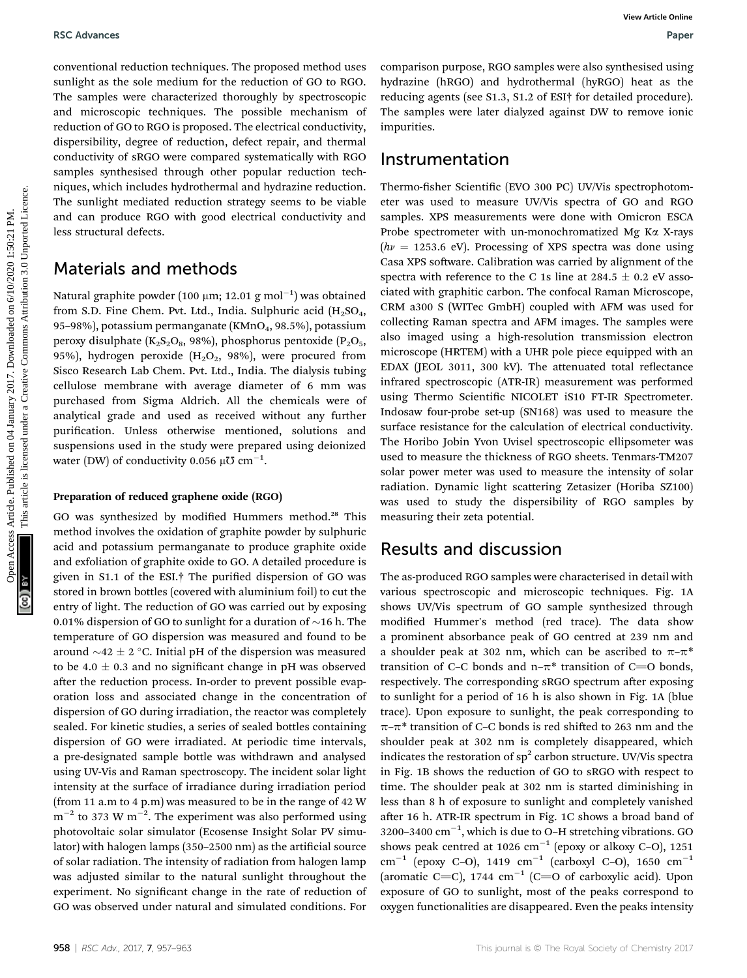conventional reduction techniques. The proposed method uses sunlight as the sole medium for the reduction of GO to RGO. The samples were characterized thoroughly by spectroscopic and microscopic techniques. The possible mechanism of reduction of GO to RGO is proposed. The electrical conductivity, dispersibility, degree of reduction, defect repair, and thermal conductivity of sRGO were compared systematically with RGO samples synthesised through other popular reduction techniques, which includes hydrothermal and hydrazine reduction. The sunlight mediated reduction strategy seems to be viable and can produce RGO with good electrical conductivity and less structural defects.

### Materials and methods

Natural graphite powder (100 µm; 12.01 g mol $^{-1})$  was obtained from S.D. Fine Chem. Pvt. Ltd., India. Sulphuric acid  $(H_2SO_4,$ 95–98%), potassium permanganate (KMnO<sub>4</sub>, 98.5%), potassium peroxy disulphate  $(K_2S_2O_8, 98\%)$ , phosphorus pentoxide  $(P_2O_5,$ 95%), hydrogen peroxide  $(H<sub>2</sub>O<sub>2</sub>, 98%)$ , were procured from Sisco Research Lab Chem. Pvt. Ltd., India. The dialysis tubing cellulose membrane with average diameter of 6 mm was purchased from Sigma Aldrich. All the chemicals were of analytical grade and used as received without any further purification. Unless otherwise mentioned, solutions and suspensions used in the study were prepared using deionized water (DW) of conductivity 0.056 µU  $\rm cm^{-1}.$ 

#### Preparation of reduced graphene oxide (RGO)

GO was synthesized by modified Hummers method.<sup>28</sup> This method involves the oxidation of graphite powder by sulphuric acid and potassium permanganate to produce graphite oxide and exfoliation of graphite oxide to GO. A detailed procedure is given in S1.1 of the ESI.<sup>†</sup> The purified dispersion of GO was stored in brown bottles (covered with aluminium foil) to cut the entry of light. The reduction of GO was carried out by exposing 0.01% dispersion of GO to sunlight for a duration of  $\sim$ 16 h. The temperature of GO dispersion was measured and found to be around  $\sim$ 42  $\pm$  2 °C. Initial pH of the dispersion was measured to be  $4.0 \pm 0.3$  and no significant change in pH was observed after the reduction process. In-order to prevent possible evaporation loss and associated change in the concentration of dispersion of GO during irradiation, the reactor was completely sealed. For kinetic studies, a series of sealed bottles containing dispersion of GO were irradiated. At periodic time intervals, a pre-designated sample bottle was withdrawn and analysed using UV-Vis and Raman spectroscopy. The incident solar light intensity at the surface of irradiance during irradiation period (from 11 a.m to 4 p.m) was measured to be in the range of 42 W  $\rm m^{-2}$  to 373 W  $\rm m^{-2}.$  The experiment was also performed using photovoltaic solar simulator (Ecosense Insight Solar PV simulator) with halogen lamps (350–2500 nm) as the artificial source of solar radiation. The intensity of radiation from halogen lamp was adjusted similar to the natural sunlight throughout the experiment. No significant change in the rate of reduction of GO was observed under natural and simulated conditions. For

comparison purpose, RGO samples were also synthesised using hydrazine (hRGO) and hydrothermal (hyRGO) heat as the reducing agents (see S1.3, S1.2 of ESI† for detailed procedure). The samples were later dialyzed against DW to remove ionic impurities.

#### Instrumentation

Thermo-fisher Scientific (EVO 300 PC) UV/Vis spectrophotometer was used to measure UV/Vis spectra of GO and RGO samples. XPS measurements were done with Omicron ESCA Probe spectrometer with un-monochromatized Mg Ka X-rays  $(h\nu = 1253.6 \text{ eV})$ . Processing of XPS spectra was done using Casa XPS software. Calibration was carried by alignment of the spectra with reference to the C 1s line at 284.5  $\pm$  0.2 eV associated with graphitic carbon. The confocal Raman Microscope, CRM a300 S (WITec GmbH) coupled with AFM was used for collecting Raman spectra and AFM images. The samples were also imaged using a high-resolution transmission electron microscope (HRTEM) with a UHR pole piece equipped with an EDAX (JEOL 3011, 300 kV). The attenuated total reflectance infrared spectroscopic (ATR-IR) measurement was performed using Thermo Scientific NICOLET iS10 FT-IR Spectrometer. Indosaw four-probe set-up (SN168) was used to measure the surface resistance for the calculation of electrical conductivity. The Horibo Jobin Yvon Uvisel spectroscopic ellipsometer was used to measure the thickness of RGO sheets. Tenmars-TM207 solar power meter was used to measure the intensity of solar radiation. Dynamic light scattering Zetasizer (Horiba SZ100) was used to study the dispersibility of RGO samples by measuring their zeta potential. BSC Advances<br>
conventional reduction techniques. The proposed method on 1670, by particle in expression (on 8 Day)<br>
and microscopic recharations of the reduction of the samples were also as hydroden local box are the<br>
art

### Results and discussion

The as-produced RGO samples were characterised in detail with various spectroscopic and microscopic techniques. Fig. 1A shows UV/Vis spectrum of GO sample synthesized through modified Hummer's method (red trace). The data show a prominent absorbance peak of GO centred at 239 nm and a shoulder peak at 302 nm, which can be ascribed to  $\pi-\pi^*$ transition of C–C bonds and n– $\pi^*$  transition of C=O bonds, respectively. The corresponding sRGO spectrum after exposing to sunlight for a period of 16 h is also shown in Fig. 1A (blue trace). Upon exposure to sunlight, the peak corresponding to  $\pi$ – $\pi$ <sup>\*</sup> transition of C–C bonds is red shifted to 263 nm and the shoulder peak at 302 nm is completely disappeared, which indicates the restoration of  $sp<sup>2</sup>$  carbon structure. UV/Vis spectra in Fig. 1B shows the reduction of GO to sRGO with respect to time. The shoulder peak at 302 nm is started diminishing in less than 8 h of exposure to sunlight and completely vanished after 16 h. ATR-IR spectrum in Fig. 1C shows a broad band of 3200-3400  $\text{cm}^{-1}$ , which is due to O-H stretching vibrations. GO shows peak centred at 1026  $cm^{-1}$  (epoxy or alkoxy C-O), 1251 cm<sup>-1</sup> (epoxy C-O), 1419 cm<sup>-1</sup> (carboxyl C-O), 1650 cm<sup>-1</sup> (aromatic C=C), 1744  $cm^{-1}$  (C=O of carboxylic acid). Upon exposure of GO to sunlight, most of the peaks correspond to oxygen functionalities are disappeared. Even the peaks intensity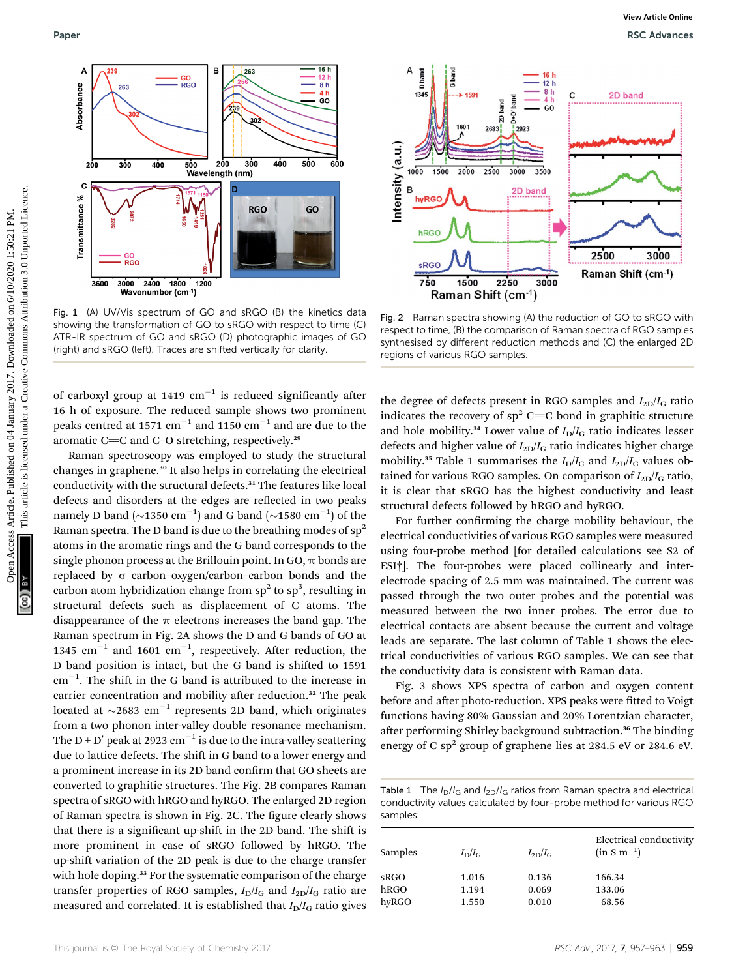

Fig. 1 (A) UV/Vis spectrum of GO and sRGO (B) the kinetics data showing the transformation of GO to sRGO with respect to time (C) ATR-IR spectrum of GO and sRGO (D) photographic images of GO (right) and sRGO (left). Traces are shifted vertically for clarity.

of carboxyl group at 1419  $cm^{-1}$  is reduced significantly after 16 h of exposure. The reduced sample shows two prominent peaks centred at 1571  $cm^{-1}$  and 1150  $cm^{-1}$  and are due to the aromatic C $=$ C and C-O stretching, respectively.<sup>29</sup>

Raman spectroscopy was employed to study the structural changes in graphene.<sup>30</sup> It also helps in correlating the electrical conductivity with the structural defects.<sup>31</sup> The features like local defects and disorders at the edges are reflected in two peaks namely D band ( $\sim$ 1350 cm<sup>-1</sup>) and G band ( $\sim$ 1580 cm<sup>-1</sup>) of the Raman spectra. The D band is due to the breathing modes of  $sp^2$ atoms in the aromatic rings and the G band corresponds to the single phonon process at the Brillouin point. In GO,  $\pi$  bonds are replaced by  $\sigma$  carbon-oxygen/carbon-carbon bonds and the carbon atom hybridization change from  $sp^2$  to  $sp^3$ , resulting in structural defects such as displacement of C atoms. The disappearance of the  $\pi$  electrons increases the band gap. The Raman spectrum in Fig. 2A shows the D and G bands of GO at 1345  $\text{cm}^{-1}$  and 1601  $\text{cm}^{-1}$ , respectively. After reduction, the D band position is intact, but the G band is shifted to 1591  $\text{cm}^{-1}$ . The shift in the G band is attributed to the increase in carrier concentration and mobility after reduction.<sup>32</sup> The peak located at  $\sim$ 2683 cm<sup>-1</sup> represents 2D band, which originates from a two phonon inter-valley double resonance mechanism. The D + D' peak at 2923 cm<sup>-1</sup> is due to the intra-valley scattering due to lattice defects. The shift in G band to a lower energy and a prominent increase in its 2D band confirm that GO sheets are converted to graphitic structures. The Fig. 2B compares Raman spectra of sRGO with hRGO and hyRGO. The enlarged 2D region of Raman spectra is shown in Fig. 2C. The figure clearly shows that there is a significant up-shift in the 2D band. The shift is more prominent in case of sRGO followed by hRGO. The up-shift variation of the 2D peak is due to the charge transfer with hole doping.<sup>33</sup> For the systematic comparison of the charge transfer properties of RGO samples,  $I_D/I_G$  and  $I_{2D}/I_G$  ratio are measured and correlated. It is established that  $I_D/I_G$  ratio gives



Fig. 2 Raman spectra showing (A) the reduction of GO to sRGO with respect to time, (B) the comparison of Raman spectra of RGO samples synthesised by different reduction methods and (C) the enlarged 2D regions of various RGO samples.

the degree of defects present in RGO samples and  $I_{2D}/I_G$  ratio indicates the recovery of  $sp^2$  C=C bond in graphitic structure and hole mobility.<sup>34</sup> Lower value of  $I_D/I_G$  ratio indicates lesser defects and higher value of  $I_{2D}/I_G$  ratio indicates higher charge mobility.<sup>35</sup> Table 1 summarises the  $I_D/I_G$  and  $I_{2D}/I_G$  values obtained for various RGO samples. On comparison of  $I_{2D}/I_G$  ratio, it is clear that sRGO has the highest conductivity and least structural defects followed by hRGO and hyRGO.

For further confirming the charge mobility behaviour, the electrical conductivities of various RGO samples were measured using four-probe method [for detailed calculations see S2 of ESI†]. The four-probes were placed collinearly and interelectrode spacing of 2.5 mm was maintained. The current was passed through the two outer probes and the potential was measured between the two inner probes. The error due to electrical contacts are absent because the current and voltage leads are separate. The last column of Table 1 shows the electrical conductivities of various RGO samples. We can see that the conductivity data is consistent with Raman data.

Fig. 3 shows XPS spectra of carbon and oxygen content before and after photo-reduction. XPS peaks were fitted to Voigt functions having 80% Gaussian and 20% Lorentzian character, after performing Shirley background subtraction.<sup>36</sup> The binding energy of C sp<sup>2</sup> group of graphene lies at 284.5 eV or 284.6 eV.

Table 1 The  $I_D/I_G$  and  $I_{2D}/I_G$  ratios from Raman spectra and electrical conductivity values calculated by four-probe method for various RGO samples

| Samples | $I_{\rm D}/I_{\rm G}$ | $I_{\rm 2D}/I_{\rm G}$ | Electrical conductivity<br>$(in S m-1)$ |
|---------|-----------------------|------------------------|-----------------------------------------|
| sRGO    | 1.016                 | 0.136                  | 166.34                                  |
| hRGO    | 1.194                 | 0.069                  | 133.06                                  |
| hyRGO   | 1.550                 | 0.010                  | 68.56                                   |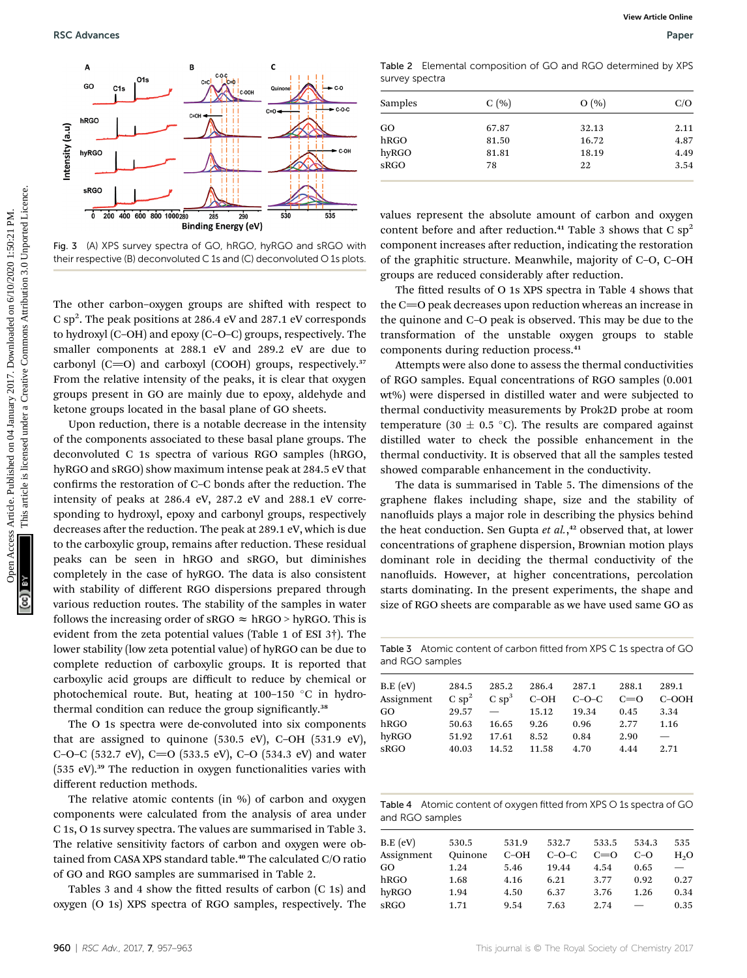

Fig. 3 (A) XPS survey spectra of GO, hRGO, hyRGO and sRGO with their respective (B) deconvoluted C 1s and (C) deconvoluted O 1s plots.

The other carbon-oxygen groups are shifted with respect to C  $\mathrm{sp}^2$ . The peak positions at 286.4 eV and 287.1 eV corresponds to hydroxyl (C–OH) and epoxy (C–O–C) groups, respectively. The smaller components at 288.1 eV and 289.2 eV are due to carbonyl  $(C=O)$  and carboxyl  $(COOH)$  groups, respectively.<sup>37</sup> From the relative intensity of the peaks, it is clear that oxygen groups present in GO are mainly due to epoxy, aldehyde and ketone groups located in the basal plane of GO sheets.

Upon reduction, there is a notable decrease in the intensity of the components associated to these basal plane groups. The deconvoluted C 1s spectra of various RGO samples (hRGO, hyRGO and sRGO) show maximum intense peak at 284.5 eV that confirms the restoration of C–C bonds after the reduction. The intensity of peaks at 286.4 eV, 287.2 eV and 288.1 eV corresponding to hydroxyl, epoxy and carbonyl groups, respectively decreases after the reduction. The peak at 289.1 eV, which is due to the carboxylic group, remains after reduction. These residual peaks can be seen in hRGO and sRGO, but diminishes completely in the case of hyRGO. The data is also consistent with stability of different RGO dispersions prepared through various reduction routes. The stability of the samples in water follows the increasing order of sRGO  $\approx$  hRGO > hyRGO. This is evident from the zeta potential values (Table 1 of ESI 3†). The lower stability (low zeta potential value) of hyRGO can be due to complete reduction of carboxylic groups. It is reported that carboxylic acid groups are difficult to reduce by chemical or photochemical route. But, heating at  $100-150$  °C in hydrothermal condition can reduce the group significantly.<sup>38</sup>

The O 1s spectra were de-convoluted into six components that are assigned to quinone (530.5 eV), C–OH (531.9 eV), C–O–C (532.7 eV), C=O (533.5 eV), C–O (534.3 eV) and water  $(535 \text{ eV})$ .<sup>39</sup> The reduction in oxygen functionalities varies with different reduction methods.

The relative atomic contents (in %) of carbon and oxygen components were calculated from the analysis of area under C 1s, O 1s survey spectra. The values are summarised in Table 3. The relative sensitivity factors of carbon and oxygen were obtained from CASA XPS standard table.<sup>40</sup> The calculated C/O ratio of GO and RGO samples are summarised in Table 2.

Tables 3 and 4 show the fitted results of carbon (C 1s) and oxygen (O 1s) XPS spectra of RGO samples, respectively. The

Table 2 Elemental composition of GO and RGO determined by XPS survey spectra

| Samples | C(%)  | O(%)  | C/O  |
|---------|-------|-------|------|
| GO      | 67.87 | 32.13 | 2.11 |
| hRGO    | 81.50 | 16.72 | 4.87 |
| hyRGO   | 81.81 | 18.19 | 4.49 |
| sRGO    | 78    | 22    | 3.54 |

values represent the absolute amount of carbon and oxygen content before and after reduction.<sup>41</sup> Table 3 shows that C  $sp^2$ component increases after reduction, indicating the restoration of the graphitic structure. Meanwhile, majority of C–O, C–OH groups are reduced considerably after reduction.

The fitted results of O 1s XPS spectra in Table 4 shows that the  $C=O$  peak decreases upon reduction whereas an increase in the quinone and C–O peak is observed. This may be due to the transformation of the unstable oxygen groups to stable components during reduction process.<sup>41</sup>

Attempts were also done to assess the thermal conductivities of RGO samples. Equal concentrations of RGO samples (0.001 wt%) were dispersed in distilled water and were subjected to thermal conductivity measurements by Prok2D probe at room temperature (30  $\pm$  0.5 °C). The results are compared against distilled water to check the possible enhancement in the thermal conductivity. It is observed that all the samples tested showed comparable enhancement in the conductivity.

The data is summarised in Table 5. The dimensions of the graphene flakes including shape, size and the stability of nanofluids plays a major role in describing the physics behind the heat conduction. Sen Gupta et al.,<sup>42</sup> observed that, at lower concentrations of graphene dispersion, Brownian motion plays dominant role in deciding the thermal conductivity of the nanofluids. However, at higher concentrations, percolation starts dominating. In the present experiments, the shape and size of RGO sheets are comparable as we have used same GO as

Table 3 Atomic content of carbon fitted from XPS C 1s spectra of GO and RGO samples

| B.E (eV)<br>Assignment | 284.5<br>Csp <sup>2</sup> | 285.2<br>$C_{sp}^3$      | 286.4<br>$C-OH$ | 287.1<br>$C-O-C$ | 288.1<br>$C=0$ | 289.1<br>$C-OOH$         |
|------------------------|---------------------------|--------------------------|-----------------|------------------|----------------|--------------------------|
| GO.                    | 29.57                     | $\overline{\phantom{0}}$ | 15.12           | 19.34            | 0.45           | 3.34                     |
| hRGO                   | 50.63                     | 16.65                    | 9.26            | 0.96             | 2.77           | 1.16                     |
| hyRGO                  | 51.92                     | 17.61                    | 8.52            | 0.84             | 2.90           | $\overline{\phantom{0}}$ |
| sRGO                   | 40.03                     | 14.52                    | 11.58           | 4.70             | 4.44           | 2.71                     |
|                        |                           |                          |                 |                  |                |                          |

Table 4 Atomic content of oxygen fitted from XPS O 1s spectra of GO and RGO samples

| $B.E$ (eV) | 530.5   | 531.9  | 532.7   | 533.5   | 534.3 | 535                      |
|------------|---------|--------|---------|---------|-------|--------------------------|
| Assignment | Ouinone | $C-OH$ | $C-O-C$ | $C = 0$ | $C-O$ | $H_2O$                   |
| GO         | 1.24    | 5.46   | 19.44   | 4.54    | 0.65  | $\overline{\phantom{0}}$ |
| hRGO       | 1.68    | 4.16   | 6.21    | 3.77    | 0.92  | 0.27                     |
| hyRGO      | 1.94    | 4.50   | 6.37    | 3.76    | 1.26  | 0.34                     |
| sRGO       | 1.71    | 9.54   | 7.63    | 2.74    |       | 0.35                     |
|            |         |        |         |         |       |                          |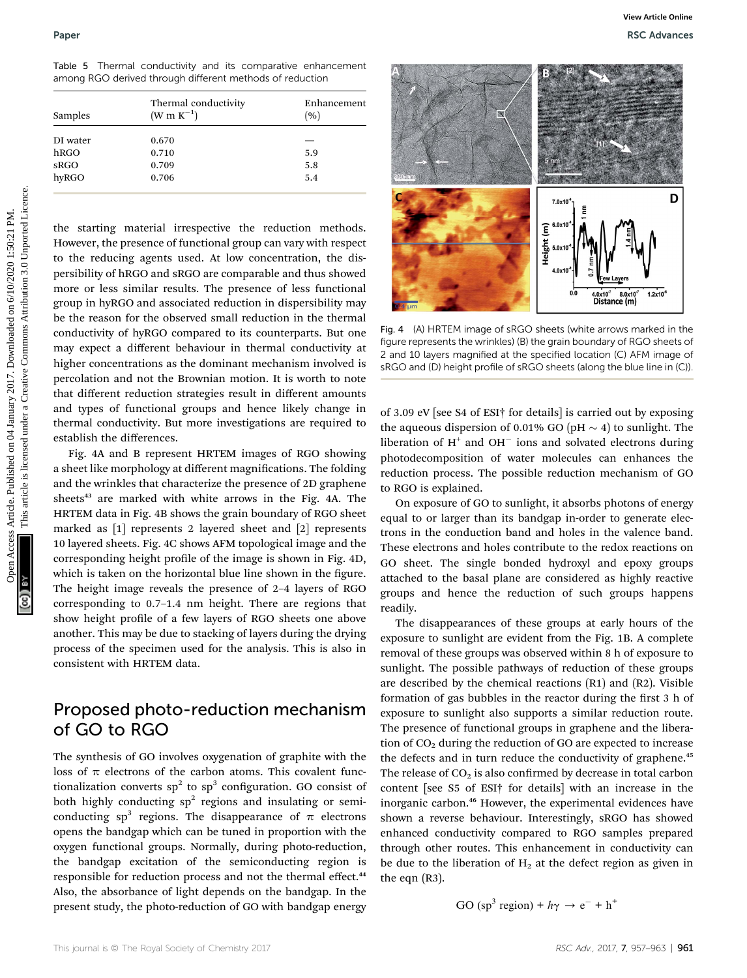|  |  |  |                                                          | Table 5 Thermal conductivity and its comparative enhancement |
|--|--|--|----------------------------------------------------------|--------------------------------------------------------------|
|  |  |  | among RGO derived through different methods of reduction |                                                              |

| Samples  | Thermal conductivity<br>$(W m K^{-1})$ | Enhancement<br>(9) |  |  |
|----------|----------------------------------------|--------------------|--|--|
| DI water | 0.670                                  |                    |  |  |
| hRGO     | 0.710                                  | 5.9                |  |  |
| sRGO     | 0.709                                  | 5.8                |  |  |
| hyRGO    | 0.706                                  | 5.4                |  |  |
|          |                                        |                    |  |  |

the starting material irrespective the reduction methods. However, the presence of functional group can vary with respect to the reducing agents used. At low concentration, the dispersibility of hRGO and sRGO are comparable and thus showed more or less similar results. The presence of less functional group in hyRGO and associated reduction in dispersibility may be the reason for the observed small reduction in the thermal conductivity of hyRGO compared to its counterparts. But one may expect a different behaviour in thermal conductivity at higher concentrations as the dominant mechanism involved is percolation and not the Brownian motion. It is worth to note that different reduction strategies result in different amounts and types of functional groups and hence likely change in thermal conductivity. But more investigations are required to establish the differences.

Fig. 4A and B represent HRTEM images of RGO showing a sheet like morphology at different magnifications. The folding and the wrinkles that characterize the presence of 2D graphene sheets $43$  are marked with white arrows in the Fig. 4A. The HRTEM data in Fig. 4B shows the grain boundary of RGO sheet marked as [1] represents 2 layered sheet and [2] represents 10 layered sheets. Fig. 4C shows AFM topological image and the corresponding height profile of the image is shown in Fig. 4D, which is taken on the horizontal blue line shown in the figure. The height image reveals the presence of 2–4 layers of RGO corresponding to 0.7–1.4 nm height. There are regions that show height profile of a few layers of RGO sheets one above another. This may be due to stacking of layers during the drying process of the specimen used for the analysis. This is also in consistent with HRTEM data.

## Proposed photo-reduction mechanism of GO to RGO

The synthesis of GO involves oxygenation of graphite with the loss of  $\pi$  electrons of the carbon atoms. This covalent functionalization converts  $sp^2$  to  $sp^3$  configuration. GO consist of both highly conducting  $sp^2$  regions and insulating or semiconducting sp<sup>3</sup> regions. The disappearance of  $\pi$  electrons opens the bandgap which can be tuned in proportion with the oxygen functional groups. Normally, during photo-reduction, the bandgap excitation of the semiconducting region is responsible for reduction process and not the thermal effect.<sup>44</sup> Also, the absorbance of light depends on the bandgap. In the present study, the photo-reduction of GO with bandgap energy



Fig. 4 (A) HRTEM image of sRGO sheets (white arrows marked in the figure represents the wrinkles) (B) the grain boundary of RGO sheets of 2 and 10 layers magnified at the specified location (C) AFM image of sRGO and (D) height profile of sRGO sheets (along the blue line in (C)).

of 3.09 eV [see S4 of ESI† for details] is carried out by exposing the aqueous dispersion of 0.01% GO (pH  $\sim$  4) to sunlight. The liberation of  $H^+$  and OH<sup>-</sup> ions and solvated electrons during photodecomposition of water molecules can enhances the reduction process. The possible reduction mechanism of GO to RGO is explained.

On exposure of GO to sunlight, it absorbs photons of energy equal to or larger than its bandgap in-order to generate electrons in the conduction band and holes in the valence band. These electrons and holes contribute to the redox reactions on GO sheet. The single bonded hydroxyl and epoxy groups attached to the basal plane are considered as highly reactive groups and hence the reduction of such groups happens readily.

The disappearances of these groups at early hours of the exposure to sunlight are evident from the Fig. 1B. A complete removal of these groups was observed within 8 h of exposure to sunlight. The possible pathways of reduction of these groups are described by the chemical reactions (R1) and (R2). Visible formation of gas bubbles in the reactor during the first 3 h of exposure to sunlight also supports a similar reduction route. The presence of functional groups in graphene and the liberation of  $CO<sub>2</sub>$  during the reduction of GO are expected to increase the defects and in turn reduce the conductivity of graphene.<sup>45</sup> The release of  $CO<sub>2</sub>$  is also confirmed by decrease in total carbon content [see S5 of ESI† for details] with an increase in the inorganic carbon.<sup>46</sup> However, the experimental evidences have shown a reverse behaviour. Interestingly, sRGO has showed enhanced conductivity compared to RGO samples prepared through other routes. This enhancement in conductivity can be due to the liberation of  $H<sub>2</sub>$  at the defect region as given in the eqn (R3).

GO (sp<sup>3</sup> region) + 
$$
h\gamma \rightarrow e^- + h^+
$$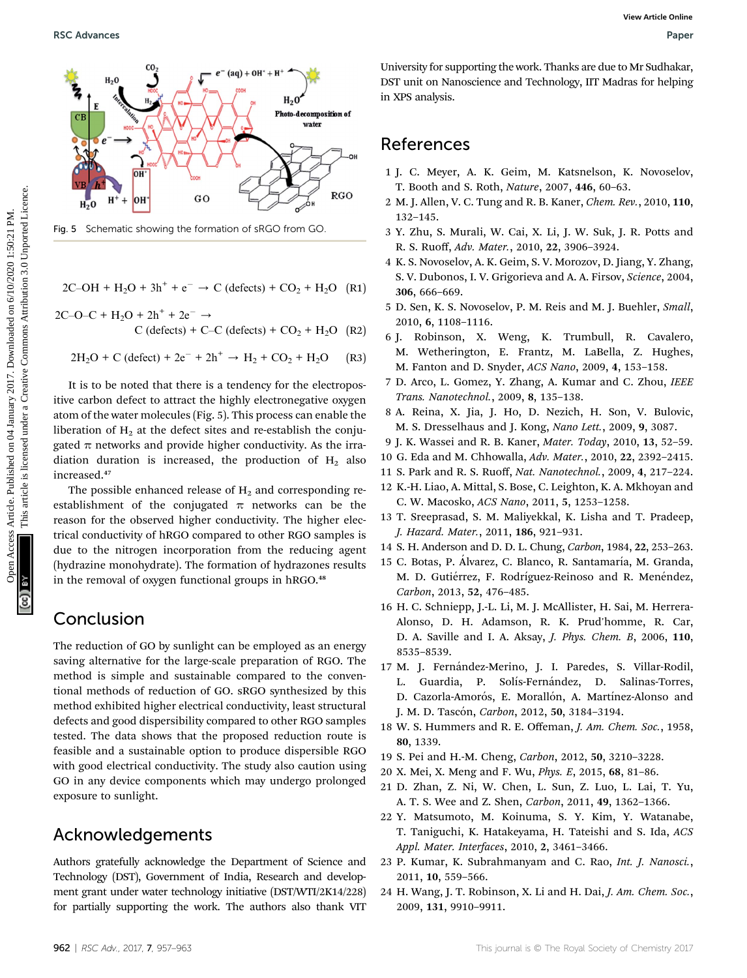![](_page_5_Figure_3.jpeg)

Fig. 5 Schematic showing the formation of sRGO from GO.

- $2C-OH + H_2O + 3h^+ + e^- \rightarrow C$  (defects) +  $CO_2 + H_2O$  (R1)
- $2C-O-C + H<sub>2</sub>O + 2h<sup>+</sup> + 2e<sup>-</sup>$   $\rightarrow$  $C$  (defects) + C–C (defects) +  $CO<sub>2</sub>$  + H<sub>2</sub>O (R2)

$$
2H_2O + C (defect) + 2e^- + 2h^+ \rightarrow H_2 + CO_2 + H_2O \qquad (R3)
$$

It is to be noted that there is a tendency for the electropositive carbon defect to attract the highly electronegative oxygen atom of the water molecules (Fig. 5). This process can enable the liberation of  $H_2$  at the defect sites and re-establish the conjugated  $\pi$  networks and provide higher conductivity. As the irradiation duration is increased, the production of  $H_2$  also increased.<sup>47</sup>

The possible enhanced release of  $H_2$  and corresponding reestablishment of the conjugated  $\pi$  networks can be the reason for the observed higher conductivity. The higher electrical conductivity of hRGO compared to other RGO samples is due to the nitrogen incorporation from the reducing agent (hydrazine monohydrate). The formation of hydrazones results in the removal of oxygen functional groups in hRGO.<sup>48</sup>

## Conclusion

The reduction of GO by sunlight can be employed as an energy saving alternative for the large-scale preparation of RGO. The method is simple and sustainable compared to the conventional methods of reduction of GO. sRGO synthesized by this method exhibited higher electrical conductivity, least structural defects and good dispersibility compared to other RGO samples tested. The data shows that the proposed reduction route is feasible and a sustainable option to produce dispersible RGO with good electrical conductivity. The study also caution using GO in any device components which may undergo prolonged exposure to sunlight.

### Acknowledgements

Authors gratefully acknowledge the Department of Science and Technology (DST), Government of India, Research and development grant under water technology initiative (DST/WTI/2K14/228) for partially supporting the work. The authors also thank VIT

University for supporting the work. Thanks are due to Mr Sudhakar, DST unit on Nanoscience and Technology, IIT Madras for helping in XPS analysis.

### References

- 1 J. C. Meyer, A. K. Geim, M. Katsnelson, K. Novoselov, T. Booth and S. Roth, Nature, 2007, 446, 60–63.
- 2 M. J. Allen, V. C. Tung and R. B. Kaner, Chem. Rev., 2010, 110, 132–145.
- 3 Y. Zhu, S. Murali, W. Cai, X. Li, J. W. Suk, J. R. Potts and R. S. Ruoff, Adv. Mater., 2010, 22, 3906–3924.
- 4 K. S. Novoselov, A. K. Geim, S. V. Morozov, D. Jiang, Y. Zhang, S. V. Dubonos, I. V. Grigorieva and A. A. Firsov, Science, 2004, 306, 666–669.
- 5 D. Sen, K. S. Novoselov, P. M. Reis and M. J. Buehler, Small, 2010, 6, 1108–1116.
- 6 J. Robinson, X. Weng, K. Trumbull, R. Cavalero, M. Wetherington, E. Frantz, M. LaBella, Z. Hughes, M. Fanton and D. Snyder, ACS Nano, 2009, 4, 153–158.
- 7 D. Arco, L. Gomez, Y. Zhang, A. Kumar and C. Zhou, IEEE Trans. Nanotechnol., 2009, 8, 135–138.
- 8 A. Reina, X. Jia, J. Ho, D. Nezich, H. Son, V. Bulovic, M. S. Dresselhaus and J. Kong, Nano Lett., 2009, 9, 3087.
- 9 J. K. Wassei and R. B. Kaner, Mater. Today, 2010, 13, 52–59.
- 10 G. Eda and M. Chhowalla, Adv. Mater., 2010, 22, 2392–2415.
- 11 S. Park and R. S. Ruoff, Nat. Nanotechnol., 2009, 4, 217–224.
- 12 K.-H. Liao, A. Mittal, S. Bose, C. Leighton, K. A. Mkhoyan and C. W. Macosko, ACS Nano, 2011, 5, 1253–1258.
- 13 T. Sreeprasad, S. M. Maliyekkal, K. Lisha and T. Pradeep, J. Hazard. Mater., 2011, 186, 921–931.
- 14 S. H. Anderson and D. D. L. Chung, Carbon, 1984, 22, 253–263.
- 15 C. Botas, P. Álvarez, C. Blanco, R. Santamaría, M. Granda, M. D. Gutiérrez, F. Rodríguez-Reinoso and R. Menéndez, Carbon, 2013, 52, 476–485.
- 16 H. C. Schniepp, J.-L. Li, M. J. McAllister, H. Sai, M. Herrera-Alonso, D. H. Adamson, R. K. Prud'homme, R. Car, D. A. Saville and I. A. Aksay, J. Phys. Chem. B, 2006, 110, 8535–8539.
- 17 M. J. Fernández-Merino, J. I. Paredes, S. Villar-Rodil, L. Guardia, P. Solís-Fernández, D. Salinas-Torres, D. Cazorla-Amorós, E. Morallón, A. Martínez-Alonso and J. M. D. Tascón, Carbon, 2012, 50, 3184-3194.
- 18 W. S. Hummers and R. E. Offeman, J. Am. Chem. Soc., 1958, 80, 1339.
- 19 S. Pei and H.-M. Cheng, Carbon, 2012, 50, 3210–3228.
- 20 X. Mei, X. Meng and F. Wu, Phys. E, 2015, 68, 81–86.
- 21 D. Zhan, Z. Ni, W. Chen, L. Sun, Z. Luo, L. Lai, T. Yu, A. T. S. Wee and Z. Shen, Carbon, 2011, 49, 1362–1366.
- 22 Y. Matsumoto, M. Koinuma, S. Y. Kim, Y. Watanabe, T. Taniguchi, K. Hatakeyama, H. Tateishi and S. Ida, ACS Appl. Mater. Interfaces, 2010, 2, 3461–3466.
- 23 P. Kumar, K. Subrahmanyam and C. Rao, Int. J. Nanosci., 2011, 10, 559–566.
- 24 H. Wang, J. T. Robinson, X. Li and H. Dai, J. Am. Chem. Soc., 2009, 131, 9910–9911.